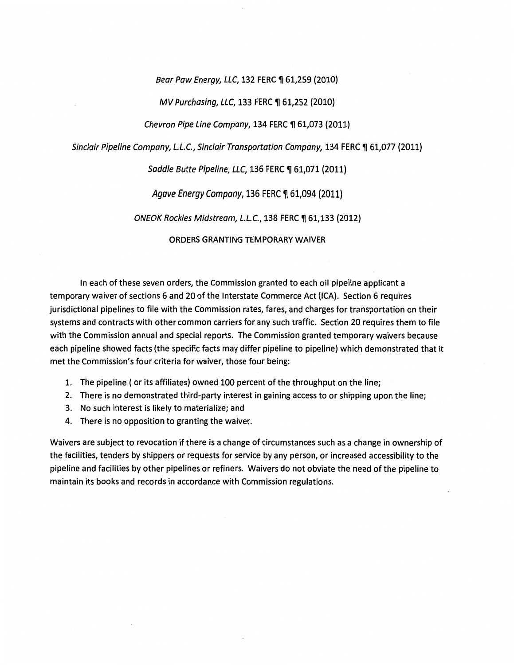Bear Paw Energy, LLC, 132 FERC ¶ 61,259 (2010)

### MV Purchasing, LLC, 133 FERC ¶ 61,252 (2010)

Chevron Pipe Line Company, 134 FERC  $\P$  61,073 (2011)

Sinclair Pipeline Company, L.L.C., Sinclair Transportation Company, 134 FERC ¶ 61,077 (2011)

### Saddle Butte Pipeline, LLC, 136 FERC ¶ 61,071 (2011)

Agave Energy Company, 136 FERC ¶ 61,094 (2011)

ONEOK Rockies Midstream, L.L.C., 138 FERC ¶ 61,133 (2012)

ORDERS GRANTING TEMPORARY WAIVER

In each of these seven orders, the Commission granted to each oil pipeline applicant a temporary waiver of sections 6 and 20 of the Interstate Commerce Act (ICA). Section 6 requires jurisdictional pipelines to file with the Commission rates, fares, and charges for transportation on their systems and contracts with other common carriers for any such traffic. Section 20 requires them to file with the Commission annual and special reports. The Commission granted temporary waivers because each pipeline showed facts (the specific facts may differ pipeline to pipeline) which demonstrated that it met the Commission's four criteria for waiver, those four being:

- 1. The pipeline ( or its affiliates) owned 100 percent of the throughput on the line;
- 2. There is no demonstrated third-party interest in gaining access to or shipping upon the line;
- 3. No such interest is likely to materialize; and
- 4. There is no opposition to granting the waiver.

Waivers are subject to revocation if there is a change of circumstances such as a change in ownership of the facilities, tenders by shippers or requests for service by any person, or increased accessibility to the pipeline and facilities by other pipelines or refiners. Waivers do not obviate the need of the pipeline to maintain its books and records in accordance with Commission regulations.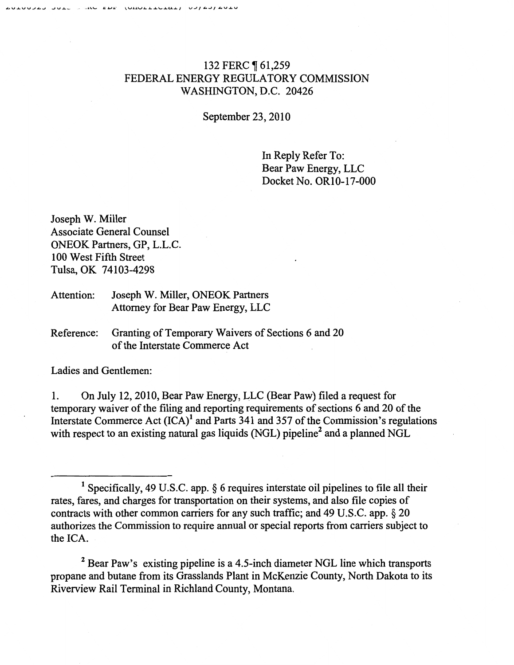# 132 FERC ¶ 61,259 FEDERAL ENERGY REGULATORY COMMISSION WASHINGTON, D.C. 20426

September 23, 2010

In Reply Refer To: Bear Paw Energy, LLC Docket No. OR10-17-000

Joseph W. Miller Associate General Counsel ONEOK Partners, GP, L.L.C. 100 West Fifth Street Tulsa, OK 74103-4298

- Attention: Joseph W. Miller, ONEOK Partners Attorney for Bear Paw Energy, LLC
- Reference: Granting of Temporary Waivers of Sections 6 and 20 of the Interstate Commerce Act

Ladies and Gentlemen:

1. On July 12,2010, Bear Paw Energy, LLC (Bear Paw) filed a request for temporary waiver of the filing and reporting requirements of sections 6 and 20 of the Interstate Commerce Act  $(ICA)^1$  and Parts 341 and 357 of the Commission's regulations with respect to an existing natural gas liquids (NGL) pipeline<sup>2</sup> and a planned NGL

<sup>2</sup> Bear Paw's existing pipeline is a 4.5-inch diameter NGL line which transports propane and butane from its Grasslands Plant in McKenzie County, North Dakota to its Riverview Rail Terminal in Richland County, Montana.

<sup>&</sup>lt;sup>1</sup> Specifically, 49 U.S.C. app.  $\S$  6 requires interstate oil pipelines to file all their rates, fares, and charges for transportation on their systems, and also file copies of contracts with other common carriers for any such traffic; and 49 U.S.C. app. § 20 authorizes the Commission to require annual or special reports from carriers subject to the ICA.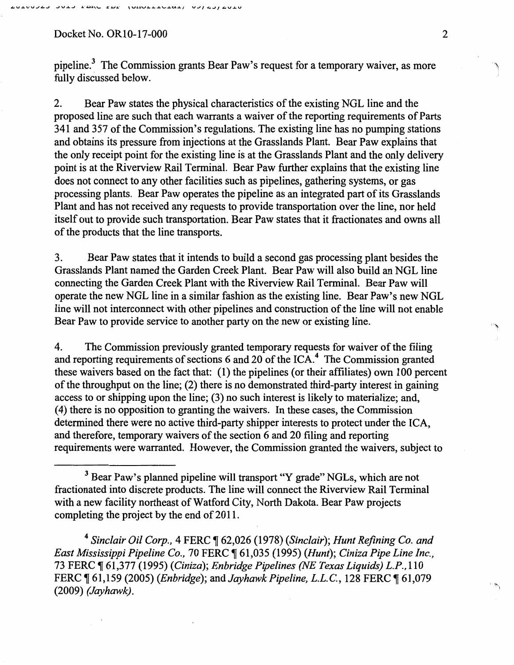### Docket No. OR10-17-000 2

pipeline.3 The Commission grants Bear Paw's request for a temporary waiver, as more fully discussed below.

2. Bear Paw states the physical characteristics of the existing NGL line and the proposed line are such that each warrants a waiver of the reporting requirements of Parts 341 and 357 of the Commission's regulations. The existing line has no pumping stations and obtains its pressure from injections at the Grasslands Plant. Bear Paw explains that the only receipt point for the existing line is at the Grasslands Plant and the only delivery point is at the Riverview Rail Terminal. Bear Paw further explains that the existing line does not connect to any other facilities such as pipelines, gathering systems, or gas processing plants. Bear Paw operates the pipeline as an integrated part of its Grasslands Plant and has not received any requests to provide transportation over the line, nor held itself out to provide such transportation. Bear Paw states that it fractionates and owns all of the products that the line transports.

3. Bear Paw states that it intends to build a second gas processing plant besides the Grasslands Plant named the Garden Creek Plant. Bear Paw will also build an NGL line connecting the Garden Creek Plant with the Riverview Rail Terminal. Bear Paw will operate the new NGL line in a similar fashion as the existing line. Bear Paw's new NGL line will not interconnect with other pipelines and construction of the line will not enable Bear Paw to provide service to another party on the new or existing line.

4. The Commission previously granted temporary requests for waiver of the filing and reporting requirements of sections 6 and 20 of the ICA.<sup>4</sup> The Commission granted these waivers based on the fact that: (1) the pipelines (or their affiliates) own 100 percent of the throughput on the line; (2) there is no demonstrated third-party interest in gaining access to or shipping upon the line; (3) no such interest is likely to materialize; and, (4) there is no opposition to granting the waivers. In these cases, the Commission determined there were no active third-party shipper interests to protect under the ICA, and therefore, temporary waivers of the section 6 and 20 filing and reporting requirements were warranted. However, the Commission granted the waivers, subject to

<sup>4</sup> Sinclair Oil Corp., 4 FERC ¶ 62,026 (1978) (Sinclair); Hunt Refining Co. and *East Mississippi Pipeline Co., 70 FERC*  $\parallel$  61,035 (1995) *(Hunt); Ciniza Pipe Line Inc.,* 73 FERC ~ 61,377 (1995) *(Ciniza); Enbridge Pipelines (NE Texas Liquids) L.P.,* 110 FERC  $\P$  61,159 (2005) *(Enbridge)*; and *Jayhawk Pipeline, L.L.C.*, 128 FERC  $\P$  61,079 (2009) *(Jayhawk)*.

<sup>&</sup>lt;sup>3</sup> Bear Paw's planned pipeline will transport "Y grade" NGLs, which are not fractionated into discrete products. The line will connect the Riverview Rail Terminal with a new facility northeast of Watford City, North Dakota. Bear Paw projects completing the project by the end of 2011.